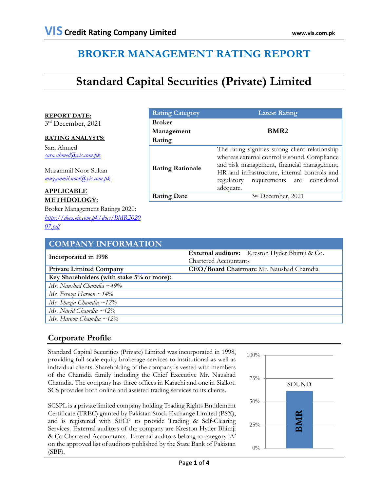# **BROKER MANAGEMENT RATING REPORT**

# **Standard Capital Securities (Private) Limited**

**REPORT DATE:**

3rd December, 2021

# **RATING ANALYSTS:**

Sara Ahmed *[sara.ahmed@vis.com.pk](mailto:sara.ahmed@vis.com.pk)*

Muzammil Noor Sultan *[muzammil.noor@vis.com.pk](mailto:muzammil.noor@vis.com.pk)*

# **APPLICABLE METHDOLOGY:**

Broker Management Ratings 2020: *[https://docs.vis.com.pk/docs/BMR2020](https://docs.vis.com.pk/docs/BMR202007.pdf) [07.pdf](https://docs.vis.com.pk/docs/BMR202007.pdf)*

| <b>Rating Category</b>  | <b>Latest Rating</b>                                                                                                                                                                                                                                     |  |  |  |  |
|-------------------------|----------------------------------------------------------------------------------------------------------------------------------------------------------------------------------------------------------------------------------------------------------|--|--|--|--|
| <b>Broker</b>           |                                                                                                                                                                                                                                                          |  |  |  |  |
| Management              | BMR <sub>2</sub>                                                                                                                                                                                                                                         |  |  |  |  |
| Rating                  |                                                                                                                                                                                                                                                          |  |  |  |  |
| <b>Rating Rationale</b> | The rating signifies strong client relationship<br>whereas external control is sound. Compliance<br>and risk management, financial management,<br>HR and infrastructure, internal controls and<br>requirements are considered<br>regulatory<br>adequate. |  |  |  |  |
| <b>Rating Date</b>      | 3rd December, 2021                                                                                                                                                                                                                                       |  |  |  |  |

| <b>COMPANY INFORMATION</b>                |                                                |  |  |  |  |
|-------------------------------------------|------------------------------------------------|--|--|--|--|
| Incorporated in 1998                      | External auditors: Kreston Hyder Bhimji & Co.  |  |  |  |  |
|                                           | Chartered Accountants                          |  |  |  |  |
| <b>Private Limited Company</b>            | <b>CEO/Board Chairman:</b> Mr. Naushad Chamdia |  |  |  |  |
| Key Shareholders (with stake 5% or more): |                                                |  |  |  |  |
| Mr. Naushad Chamdia $\sim$ 49%            |                                                |  |  |  |  |
| Ms. Feroza Haroon $\sim$ 14%              |                                                |  |  |  |  |
| Ms. Shazia Chamdia ~12%                   |                                                |  |  |  |  |
| Mr. Navid Chamdia $\sim$ 12%              |                                                |  |  |  |  |
| Mr. Haroon Chamdia ~12%                   |                                                |  |  |  |  |

# **Corporate Profile**

Standard Capital Securities (Private) Limited was incorporated in 1998, providing full scale equity brokerage services to institutional as well as individual clients. Shareholding of the company is vested with members of the Chamdia family including the Chief Executive Mr. Naushad Chamdia. The company has three offices in Karachi and one in Sialkot. SCS provides both online and assisted trading services to its clients.

SCSPL is a private limited company holding Trading Rights Entitlement Certificate (TREC) granted by Pakistan Stock Exchange Limited (PSX), and is registered with SECP to provide Trading & Self-Clearing Services. External auditors of the company are Kreston Hyder Bhimji & Co Chartered Accountants. External auditors belong to category 'A' on the approved list of auditors published by the State Bank of Pakistan (SBP).

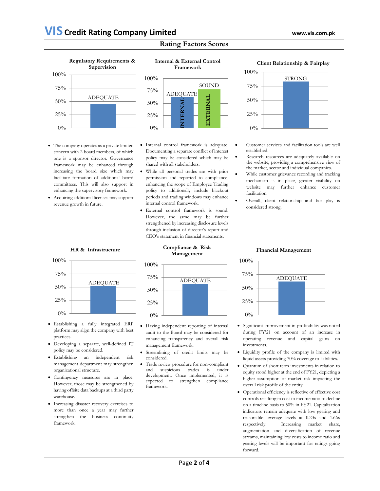# **Rating Factors Scores**



- The company operates as a private limited concern with 2 board members, of which one is a sponsor director. Governance framework may be enhanced through increasing the board size which may facilitate formation of additional board committees. This will also support in enhancing the supervisory framework.
- Acquiring additional licenses may support revenue growth in future.



**Internal & External Control** 

- Internal control framework is adequate. Documenting a separate conflict of interest policy may be considered which may be shared with all stakeholders.
- While all personal trades are with prior permission and reported to compliance, enhancing the scope of Employee Trading policy to additionally include blackout periods and trading windows may enhance internal control framework.
- External control framework is sound. However, the same may be further strengthened by increasing disclosure levels through inclusion of director's report and CEO's statement in financial statements.

#### **Client Relationship & Fairplay**



- Customer services and facilitation tools are well established.
- Research resources are adequately available on the website, providing a comprehensive view of the market, sector and individual companies.
- While customer grievance recording and tracking mechanism is in place, greater visibility on website may further enhance customer facilitation.
- Overall, client relationship and fair play is considered strong.

#### **HR & Infrastructure**



- Establishing a fully integrated ERP platform may align the company with best practices.
- Developing a separate, well-defined IT policy may be considered.
- Establishing an independent risk management department may strengthen organizational structure.
- Contingency measures are in place. However, those may be strengthened by having offsite data backups at a third party warehouse.
- Increasing disaster recovery exercises to more than once a year may further strengthen the business continuity framework.

#### **Compliance & Risk Management**



- Having independent reporting of internal audit to the Board may be considered for enhancing transparency and overall risk management framework.
- Streamlining of credit limits may be considered.
- Trade review procedure for non-compliant and suspicious trades is under development. Once implemented, it is expected to strengthen compliance framework.

# **Financial Management**



- Significant improvement in profitability was noted during FY'21 on account of an increase in operating revenue and capital gains on investments.
- Liquidity profile of the company is limited with liquid assets providing 70% coverage to liabilities.
- Quantum of short term investments in relation to equity stood higher at the end of FY21, depicting a higher assumption of market risk impacting the overall risk profile of the entity.
- Operational efficiency is reflective of effective cost controls resulting in cost to income ratio to decline on a timeline basis to 50% in FY21. Capitalization indicators remain adequate with low gearing and reasonable leverage levels at 0.23x and 1.66x respectively. Increasing market share, augmentation and diversification of revenue streams, maintaining low costs to income ratio and gearing levels will be important for ratings going forward.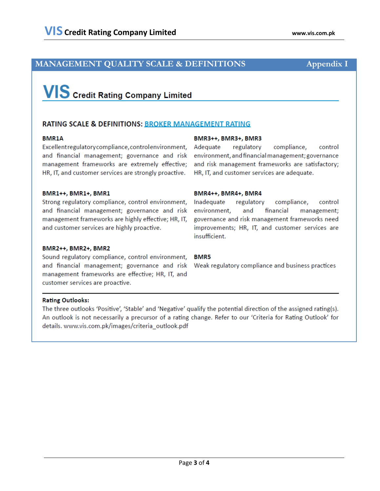# **MANAGEMENT QUALITY SCALE & DEFINITIONS**

# **VIS** Credit Rating Company Limited

## **RATING SCALE & DEFINITIONS: BROKER MANAGEMENT RATING**

## **BMR1A**

Excellent regulatory compliance, control environment, and financial management; governance and risk management frameworks are extremely effective; HR, IT, and customer services are strongly proactive.

## BMR3++, BMR3+, BMR3

regulatory compliance, Adequate control environment, and financial management; governance and risk management frameworks are satisfactory; HR, IT, and customer services are adequate.

#### BMR1++, BMR1+, BMR1

Strong regulatory compliance, control environment, and financial management; governance and risk management frameworks are highly effective; HR, IT, and customer services are highly proactive.

#### BMR2++, BMR2+, BMR2

Sound regulatory compliance, control environment, and financial management; governance and risk Weak regulatory compliance and business practices management frameworks are effective; HR, IT, and customer services are proactive.

#### BMR4++, BMR4+, BMR4

Inadequate regulatory compliance, control environment, and financial management; governance and risk management frameworks need improvements; HR, IT, and customer services are insufficient.

#### **BMR5**

## **Rating Outlooks:**

The three outlooks 'Positive', 'Stable' and 'Negative' qualify the potential direction of the assigned rating(s). An outlook is not necessarily a precursor of a rating change. Refer to our 'Criteria for Rating Outlook' for details. www.vis.com.pk/images/criteria\_outlook.pdf

# **Appendix I**